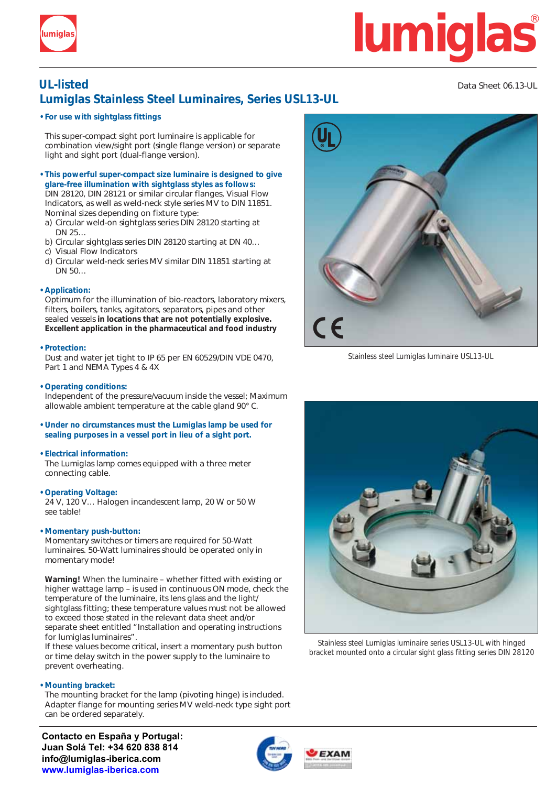

# **lumiglas lumiglas**

## **UL-listed** Data Sheet 06.13-UL **Lumiglas Stainless Steel Luminaires, Series USL13-UL**

### **• For use with sightglass fittings**

This super-compact sight port luminaire is applicable for combination view/sight port (single flange version) or separate light and sight port (dual-flange version).

- **• This powerful super-compact size luminaire is designed to give glare-free illumination with sightglass styles as follows:** DIN 28120, DIN 28121 or similar circular flanges, Visual Flow Indicators, as well as weld-neck style series MV to DIN 11851. Nominal sizes depending on fixture type:
- a) Circular weld-on sightglass series DIN 28120 starting at DN 25…
- b) Circular sightglass series DIN 28120 starting at DN 40…
- c) Visual Flow Indicators
- d) Circular weld-neck series MV similar DIN 11851 starting at DN 50…

### **• Application:**

Optimum for the illumination of bio-reactors, laboratory mixers, filters, boilers, tanks, agitators, separators, pipes and other sealed vessels **in locations that are not potentially explosive. Excellent application in the pharmaceutical and food industry**

### **• Protection:**

Dust and water jet tight to IP 65 per EN 60529/DIN VDE 0470, Part 1 and NEMA Types 4 & 4X

### **• Operating conditions:**

Independent of the pressure/vacuum inside the vessel; Maximum allowable ambient temperature at the cable gland 90° C.

**• Under no circumstances must the Lumiglas lamp be used for sealing purposes in a vessel port in lieu of a sight port.**

### **• Electrical information:**

The Lumiglas lamp comes equipped with a three meter connecting cable.

### **• Operating Voltage:**

24 V, 120 V… Halogen incandescent lamp, 20 W or 50 W see table!

### **• Momentary push-button:**

Momentary switches or timers are required for 50-Watt luminaires. 50-Watt luminaires should be operated only in momentary mode!

**Warning!** When the luminaire – whether fitted with existing or higher wattage lamp – is used in continuous ON mode, check the temperature of the luminaire, its lens glass and the light/ sightglass fitting; these temperature values must not be allowed to exceed those stated in the relevant data sheet and/or separate sheet entitled "Installation and operating instructions for lumiglas luminaires".

If these values become critical, insert a momentary push button or time delay switch in the power supply to the luminaire to prevent overheating.

### **• Mounting bracket:**

The mounting bracket for the lamp (pivoting hinge) is included. Adapter flange for mounting series MV weld-neck type sight port can be ordered separately.

**Contacto en España y Portugal: Juan Solá Tel: +34 620 838 814 info@lumiglas-iberica.com www.lumiglas-iberica.com**



Stainless steel Lumiglas luminaire USL13-UL



Stainless steel Lumiglas luminaire series USL13-UL with hinged bracket mounted onto a circular sight glass fitting series DIN 28120